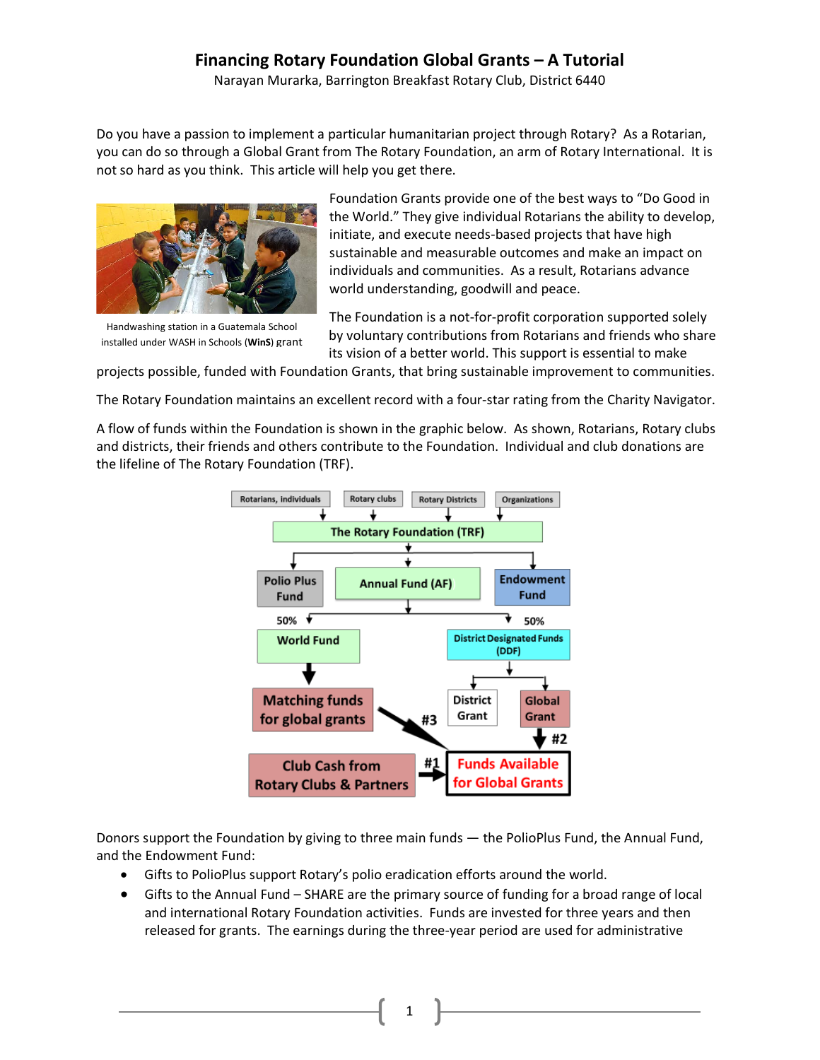Narayan Murarka, Barrington Breakfast Rotary Club, District 6440

Do you have a passion to implement a particular humanitarian project through Rotary? As a Rotarian, you can do so through a Global Grant from The Rotary Foundation, an arm of Rotary International. It is not so hard as you think. This article will help you get there.



Handwashing station in a Guatemala School installed under WASH in Schools (**WinS**) grant

Foundation Grants provide one of the best ways to "Do Good in the World." They give individual Rotarians the ability to develop, initiate, and execute needs-based projects that have high sustainable and measurable outcomes and make an impact on individuals and communities. As a result, Rotarians advance world understanding, goodwill and peace.

The Foundation is a not-for-profit corporation supported solely by voluntary contributions from Rotarians and friends who share its vision of a better world. This support is essential to make

projects possible, funded with Foundation Grants, that bring sustainable improvement to communities.

The Rotary Foundation maintains an excellent record with a four-star rating from the Charity Navigator.

A flow of funds within the Foundation is shown in the graphic below. As shown, Rotarians, Rotary clubs and districts, their friends and others contribute to the Foundation. Individual and club donations are the lifeline of The Rotary Foundation (TRF).



Donors support the Foundation by giving to three main funds — the PolioPlus Fund, the Annual Fund, and the Endowment Fund:

- Gifts to PolioPlus support Rotary's polio eradication efforts around the world.
- Gifts to the Annual Fund SHARE are the primary source of funding for a broad range of local and international Rotary Foundation activities. Funds are invested for three years and then released for grants. The earnings during the three-year period are used for administrative

1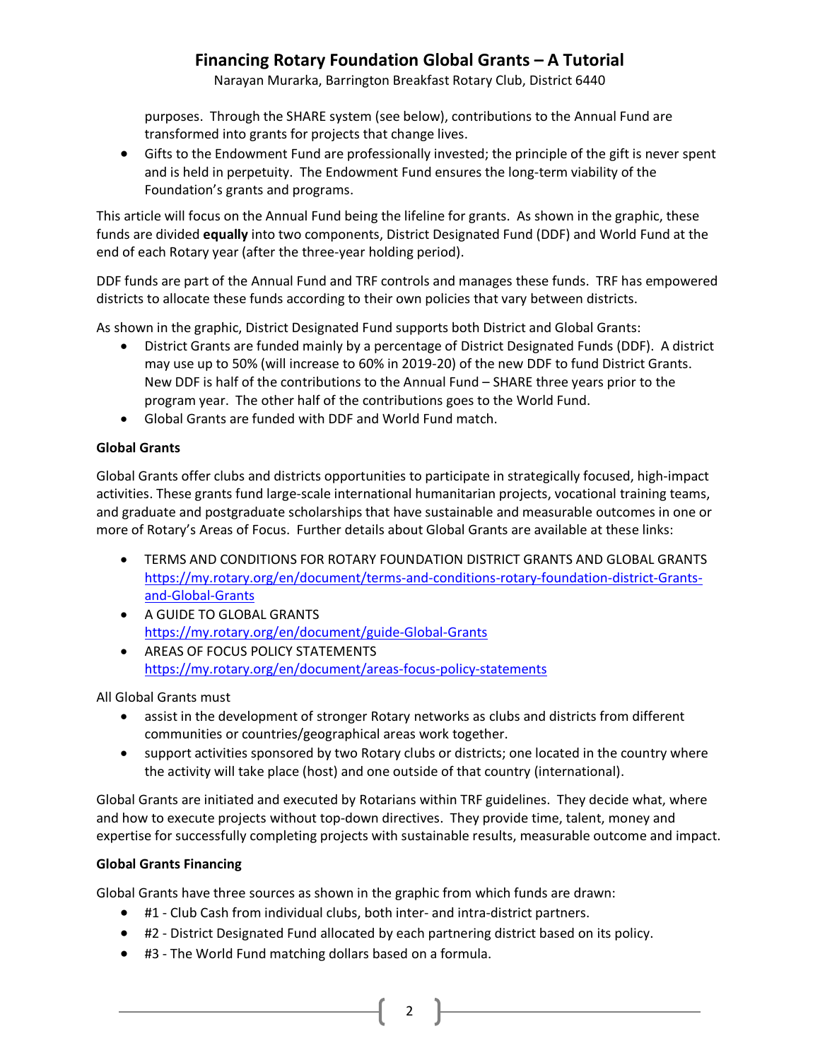Narayan Murarka, Barrington Breakfast Rotary Club, District 6440

purposes. Through the SHARE system (see below), contributions to the Annual Fund are transformed into grants for projects that change lives.

• Gifts to the Endowment Fund are professionally invested; the principle of the gift is never spent and is held in perpetuity. The Endowment Fund ensures the long-term viability of the Foundation's grants and programs.

This article will focus on the Annual Fund being the lifeline for grants. As shown in the graphic, these funds are divided **equally** into two components, District Designated Fund (DDF) and World Fund at the end of each Rotary year (after the three-year holding period).

DDF funds are part of the Annual Fund and TRF controls and manages these funds. TRF has empowered districts to allocate these funds according to their own policies that vary between districts.

As shown in the graphic, District Designated Fund supports both District and Global Grants:

- District Grants are funded mainly by a percentage of District Designated Funds (DDF). A district may use up to 50% (will increase to 60% in 2019-20) of the new DDF to fund District Grants. New DDF is half of the contributions to the Annual Fund – SHARE three years prior to the program year. The other half of the contributions goes to the World Fund.
- Global Grants are funded with DDF and World Fund match.

### **Global Grants**

Global Grants offer clubs and districts opportunities to participate in strategically focused, high-impact activities. These grants fund large-scale international humanitarian projects, vocational training teams, and graduate and postgraduate scholarships that have sustainable and measurable outcomes in one or more of Rotary's Areas of Focus. Further details about Global Grants are available at these links:

- TERMS AND CONDITIONS FOR ROTARY FOUNDATION DISTRICT GRANTS AND GLOBAL GRANTS [https://my.rotary.org/en/document/terms-and-conditions-rotary-foundation-district-Grants](https://my.rotary.org/en/document/terms-and-conditions-rotary-foundation-district-grants-and-global-grants)[and-Global-Grants](https://my.rotary.org/en/document/terms-and-conditions-rotary-foundation-district-grants-and-global-grants)
- A GUIDE TO GLOBAL GRANTS [https://my.rotary.org/en/document/guide-Global-Grants](https://my.rotary.org/en/document/guide-global-grants)
- AREAS OF FOCUS POLICY STATEMENTS <https://my.rotary.org/en/document/areas-focus-policy-statements>

All Global Grants must

- assist in the development of stronger Rotary networks as clubs and districts from different communities or countries/geographical areas work together.
- support activities sponsored by two Rotary clubs or districts; one located in the country where the activity will take place (host) and one outside of that country (international).

Global Grants are initiated and executed by Rotarians within TRF guidelines. They decide what, where and how to execute projects without top-down directives. They provide time, talent, money and expertise for successfully completing projects with sustainable results, measurable outcome and impact.

### **Global Grants Financing**

Global Grants have three sources as shown in the graphic from which funds are drawn:

- #1 Club Cash from individual clubs, both inter- and intra-district partners.
- #2 District Designated Fund allocated by each partnering district based on its policy.

2

• #3 - The World Fund matching dollars based on a formula.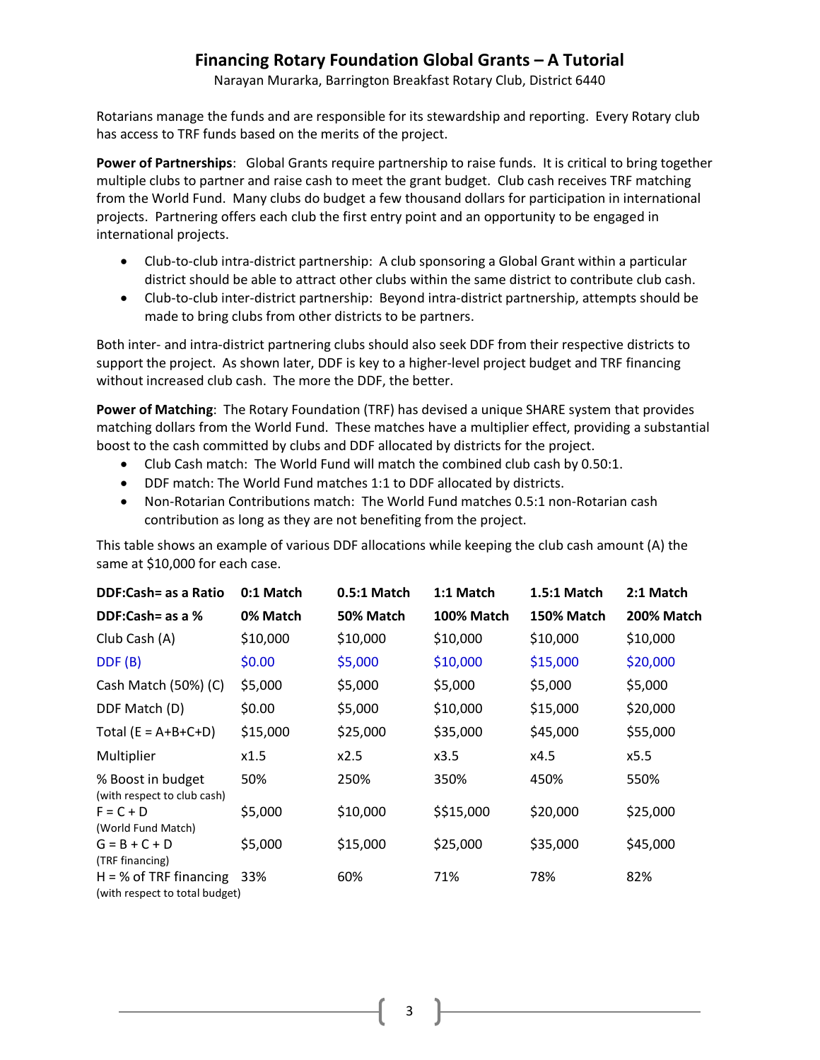Narayan Murarka, Barrington Breakfast Rotary Club, District 6440

Rotarians manage the funds and are responsible for its stewardship and reporting. Every Rotary club has access to TRF funds based on the merits of the project.

**Power of Partnerships**: Global Grants require partnership to raise funds. It is critical to bring together multiple clubs to partner and raise cash to meet the grant budget. Club cash receives TRF matching from the World Fund. Many clubs do budget a few thousand dollars for participation in international projects. Partnering offers each club the first entry point and an opportunity to be engaged in international projects.

- Club-to-club intra-district partnership: A club sponsoring a Global Grant within a particular district should be able to attract other clubs within the same district to contribute club cash.
- Club-to-club inter-district partnership: Beyond intra-district partnership, attempts should be made to bring clubs from other districts to be partners.

Both inter- and intra-district partnering clubs should also seek DDF from their respective districts to support the project. As shown later, DDF is key to a higher-level project budget and TRF financing without increased club cash. The more the DDF, the better.

**Power of Matching**: The Rotary Foundation (TRF) has devised a unique SHARE system that provides matching dollars from the World Fund. These matches have a multiplier effect, providing a substantial boost to the cash committed by clubs and DDF allocated by districts for the project.

- Club Cash match: The World Fund will match the combined club cash by 0.50:1.
- DDF match: The World Fund matches 1:1 to DDF allocated by districts.
- Non-Rotarian Contributions match: The World Fund matches 0.5:1 non-Rotarian cash contribution as long as they are not benefiting from the project.

This table shows an example of various DDF allocations while keeping the club cash amount (A) the same at \$10,000 for each case.

| <b>DDF:Cash= as a Ratio</b>                                | 0:1 Match | $0.5:1$ Match | 1:1 Match         | $1.5:1$ Match     | 2:1 Match         |
|------------------------------------------------------------|-----------|---------------|-------------------|-------------------|-------------------|
| DDF:Cash= as a %                                           | 0% Match  | 50% Match     | <b>100% Match</b> | <b>150% Match</b> | <b>200% Match</b> |
| Club Cash (A)                                              | \$10,000  | \$10,000      | \$10,000          | \$10,000          | \$10,000          |
| DDF(B)                                                     | \$0.00    | \$5,000       | \$10,000          | \$15,000          | \$20,000          |
| Cash Match (50%) (C)                                       | \$5,000   | \$5,000       | \$5,000           | \$5,000           | \$5,000           |
| DDF Match (D)                                              | \$0.00    | \$5,000       | \$10,000          | \$15,000          | \$20,000          |
| Total ( $E = A+B+C+D$ )                                    | \$15,000  | \$25,000      | \$35,000          | \$45,000          | \$55,000          |
| Multiplier                                                 | x1.5      | x2.5          | x3.5              | x4.5              | x5.5              |
| % Boost in budget<br>(with respect to club cash)           | 50%       | 250%          | 350%              | 450%              | 550%              |
| $F = C + D$<br>(World Fund Match)                          | \$5,000   | \$10,000      | \$\$15,000        | \$20,000          | \$25,000          |
| $G = B + C + D$<br>(TRF financing)                         | \$5,000   | \$15,000      | \$25,000          | \$35,000          | \$45,000          |
| $H = % of TRF financial$<br>(with respect to total budget) | 33%       | 60%           | 71%               | 78%               | 82%               |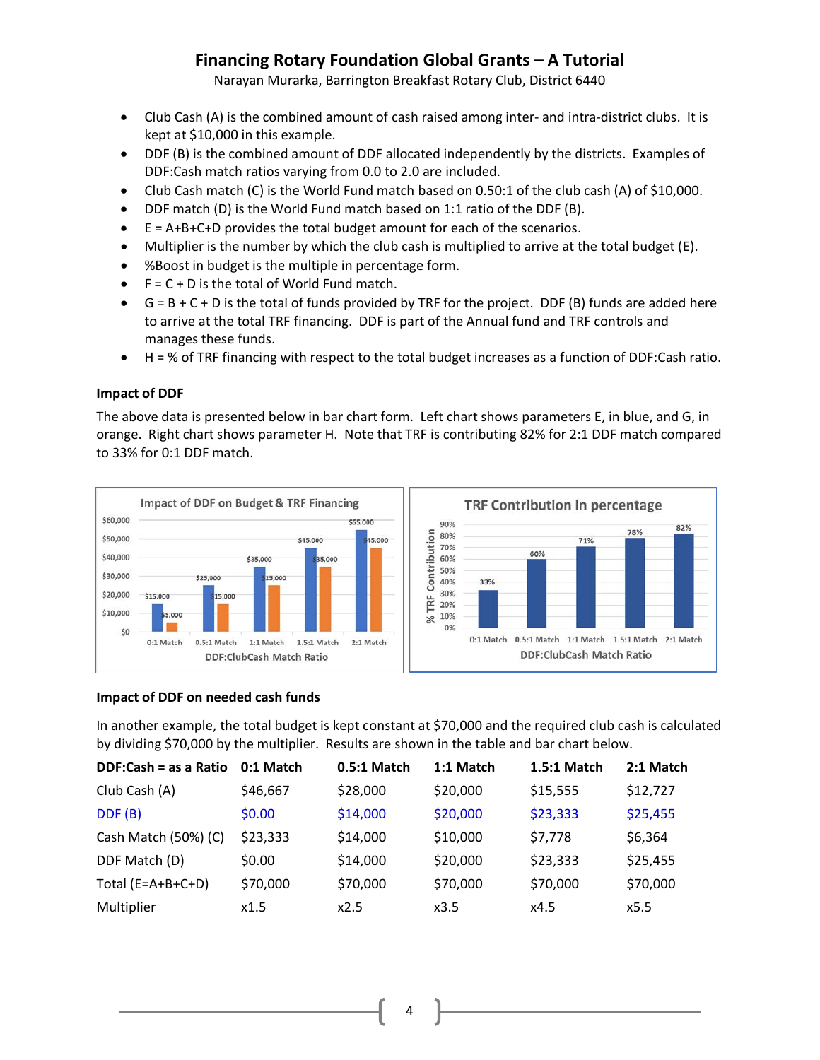Narayan Murarka, Barrington Breakfast Rotary Club, District 6440

- Club Cash (A) is the combined amount of cash raised among inter- and intra-district clubs. It is kept at \$10,000 in this example.
- DDF (B) is the combined amount of DDF allocated independently by the districts. Examples of DDF:Cash match ratios varying from 0.0 to 2.0 are included.
- Club Cash match (C) is the World Fund match based on 0.50:1 of the club cash (A) of \$10,000.
- DDF match (D) is the World Fund match based on 1:1 ratio of the DDF (B).
- E = A+B+C+D provides the total budget amount for each of the scenarios.
- Multiplier is the number by which the club cash is multiplied to arrive at the total budget (E).
- %Boost in budget is the multiple in percentage form.
- $\bullet$   $F = C + D$  is the total of World Fund match.
- $\bullet$   $G = B + C + D$  is the total of funds provided by TRF for the project. DDF (B) funds are added here to arrive at the total TRF financing. DDF is part of the Annual fund and TRF controls and manages these funds.
- H = % of TRF financing with respect to the total budget increases as a function of DDF:Cash ratio.

#### **Impact of DDF**

The above data is presented below in bar chart form. Left chart shows parameters E, in blue, and G, in orange. Right chart shows parameter H. Note that TRF is contributing 82% for 2:1 DDF match compared to 33% for 0:1 DDF match.



#### **Impact of DDF on needed cash funds**

In another example, the total budget is kept constant at \$70,000 and the required club cash is calculated by dividing \$70,000 by the multiplier. Results are shown in the table and bar chart below.

| DDF:Cash = as a Ratio | 0:1 Match | 0.5:1 Match | 1:1 Match | 1.5:1 Match | 2:1 Match |
|-----------------------|-----------|-------------|-----------|-------------|-----------|
| Club Cash (A)         | \$46,667  | \$28,000    | \$20,000  | \$15,555    | \$12,727  |
| DDF(B)                | \$0.00    | \$14,000    | \$20,000  | \$23,333    | \$25,455  |
| Cash Match (50%) (C)  | \$23,333  | \$14,000    | \$10,000  | \$7,778     | \$6,364   |
| DDF Match (D)         | \$0.00    | \$14,000    | \$20,000  | \$23,333    | \$25,455  |
| Total $(E=A+B+C+D)$   | \$70,000  | \$70,000    | \$70,000  | \$70,000    | \$70,000  |
| Multiplier            | x1.5      | x2.5        | x3.5      | x4.5        | x5.5      |